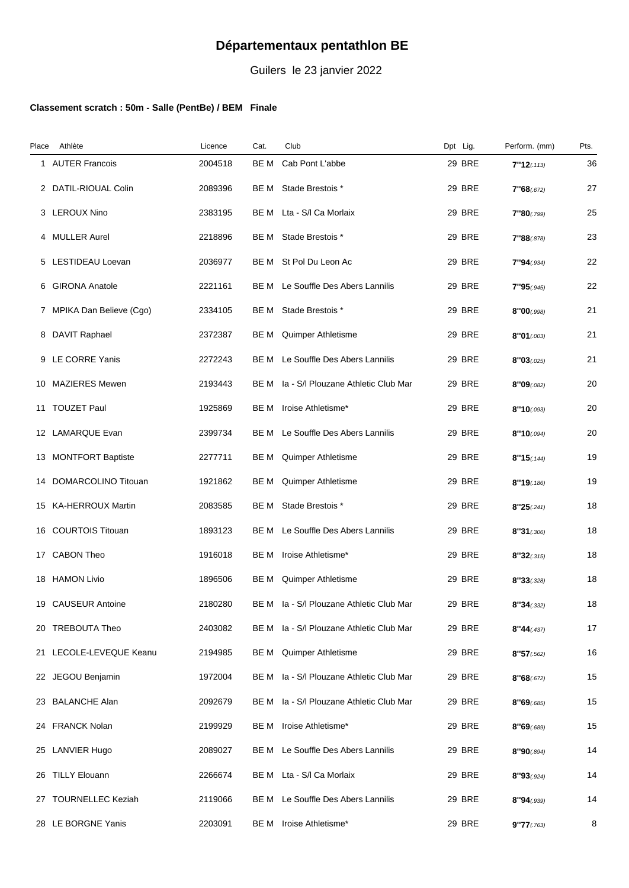## **Départementaux pentathlon BE**

Guilers le 23 janvier 2022

## **Classement scratch : 50m - Salle (PentBe) / BEM Finale**

| Place | Athlète                   | Licence | Cat. | Club                                     | Dpt Lig.      | Perform. (mm) | Pts. |
|-------|---------------------------|---------|------|------------------------------------------|---------------|---------------|------|
| 1     | <b>AUTER Francois</b>     | 2004518 | BE M | Cab Pont L'abbe                          | 29 BRE        | 7"12(0113)    | 36   |
|       | 2 DATIL-RIOUAL Colin      | 2089396 | BE M | Stade Brestois *                         | 29 BRE        | 7"68(.672)    | 27   |
| 3     | <b>LEROUX Nino</b>        | 2383195 | BE M | Lta - S/I Ca Morlaix                     | <b>29 BRE</b> | 7"80(0.799)   | 25   |
| 4     | <b>MULLER Aurel</b>       | 2218896 | BE M | Stade Brestois *                         | <b>29 BRE</b> | 7"88(.878)    | 23   |
|       | 5 LESTIDEAU Loevan        | 2036977 | BE M | St Pol Du Leon Ac                        | 29 BRE        | 7"94(0.934)   | 22   |
| 6     | <b>GIRONA Anatole</b>     | 2221161 | BE M | Le Souffle Des Abers Lannilis            | 29 BRE        | 7"95(.945)    | 22   |
|       | 7 MPIKA Dan Believe (Cgo) | 2334105 | BE M | Stade Brestois *                         | <b>29 BRE</b> | 8"00(0.998)   | 21   |
|       | 8 DAVIT Raphael           | 2372387 | BE M | Quimper Athletisme                       | 29 BRE        | 8"01(003)     | 21   |
| 9     | LE CORRE Yanis            | 2272243 | BE M | Le Souffle Des Abers Lannilis            | 29 BRE        | 8"03(0.025)   | 21   |
| 10    | <b>MAZIERES Mewen</b>     | 2193443 | BE M | Ia - S/I Plouzane Athletic Club Mar      | <b>29 BRE</b> | 8"09(0.082)   | 20   |
| 11    | <b>TOUZET Paul</b>        | 1925869 | BE M | Iroise Athletisme*                       | <b>29 BRE</b> | 8"10(0.093)   | 20   |
|       | 12 LAMARQUE Evan          | 2399734 | BE M | Le Souffle Des Abers Lannilis            | 29 BRE        | 8"10(0.094)   | 20   |
|       | 13 MONTFORT Baptiste      | 2277711 | BE M | Quimper Athletisme                       | 29 BRE        | 8"15(144)     | 19   |
|       | 14 DOMARCOLINO Titouan    | 1921862 | BE M | Quimper Athletisme                       | <b>29 BRE</b> | 8"19(.186)    | 19   |
|       | 15 KA-HERROUX Martin      | 2083585 | BE M | Stade Brestois *                         | <b>29 BRE</b> | 8"25(.241)    | 18   |
|       | 16 COURTOIS Titouan       | 1893123 | BE M | Le Souffle Des Abers Lannilis            | 29 BRE        | 8"31(.306)    | 18   |
|       | 17 CABON Theo             | 1916018 | BE M | Iroise Athletisme*                       | <b>29 BRE</b> | 8"32(.315)    | 18   |
|       | 18 HAMON Livio            | 1896506 | BE M | Quimper Athletisme                       | <b>29 BRE</b> | 8''33(.328)   | 18   |
|       | 19 CAUSEUR Antoine        | 2180280 |      | BE M Ia - S/I Plouzane Athletic Club Mar | 29 BRE        | 8''34(.332)   | 18   |
|       | 20 TREBOUTA Theo          | 2403082 |      | BE M la - S/I Plouzane Athletic Club Mar | <b>29 BRE</b> | 8"44(0.437)   | 17   |
|       | 21 LECOLE-LEVEQUE Keanu   | 2194985 | BE M | Quimper Athletisme                       | 29 BRE        | 8"57(.562)    | 16   |
|       | 22 JEGOU Benjamin         | 1972004 | BE M | Ia - S/I Plouzane Athletic Club Mar      | <b>29 BRE</b> | 8"68(.672)    | 15   |
|       | 23 BALANCHE Alan          | 2092679 | BE M | Ia - S/I Plouzane Athletic Club Mar      | <b>29 BRE</b> | 8"69(0.685)   | 15   |
|       | 24 FRANCK Nolan           | 2199929 | BE M | Iroise Athletisme*                       | <b>29 BRE</b> | 8"69(.689)    | 15   |
|       | 25 LANVIER Hugo           | 2089027 | BE M | Le Souffle Des Abers Lannilis            | 29 BRE        | 8"90(.894)    | 14   |
|       | 26 TILLY Elouann          | 2266674 |      | BE M Lta - S/I Ca Morlaix                | <b>29 BRE</b> | 8"93(.924)    | 14   |
|       | 27 TOURNELLEC Keziah      | 2119066 | BE M | Le Souffle Des Abers Lannilis            | <b>29 BRE</b> | 8"94(.939)    | 14   |
|       | 28 LE BORGNE Yanis        | 2203091 | BE M | Iroise Athletisme*                       | 29 BRE        | 9''77(0.763)  | 8    |